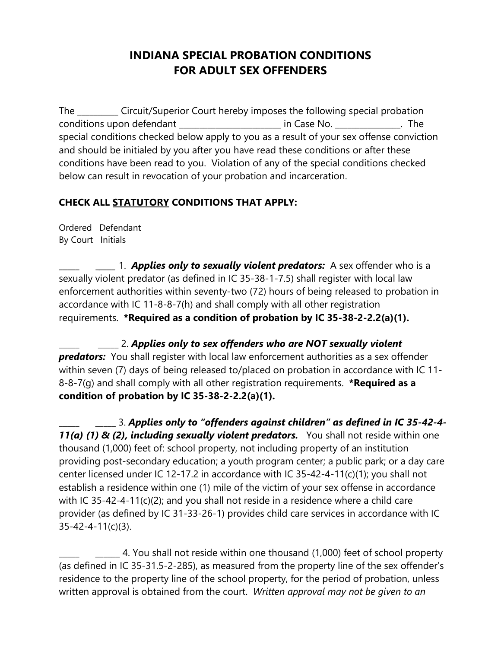## **INDIANA SPECIAL PROBATION CONDITIONS FOR ADULT SEX OFFENDERS**

The \_\_\_\_\_\_\_\_\_\_ Circuit/Superior Court hereby imposes the following special probation conditions upon defendant \_\_\_\_\_\_\_\_\_\_\_\_\_\_\_\_\_\_\_\_\_\_\_\_\_ in Case No. \_\_\_\_\_\_\_\_\_\_\_\_\_\_\_\_. The special conditions checked below apply to you as a result of your sex offense conviction and should be initialed by you after you have read these conditions or after these conditions have been read to you. Violation of any of the special conditions checked below can result in revocation of your probation and incarceration.

## **CHECK ALL STATUTORY CONDITIONS THAT APPLY:**

Ordered Defendant By Court Initials

\_\_\_\_\_\_*\_\_\_\_* 1. *Applies only to sexually violent predators:* A sex offender who is a sexually violent predator (as defined in IC 35-38-1-7.5) shall register with local law enforcement authorities within seventy-two (72) hours of being released to probation in accordance with IC 11-8-8-7(h) and shall comply with all other registration requirements. **\*Required as a condition of probation by IC 35-38-2-2.2(a)(1).**

\_\_\_\_\_ \_\_\_\_\_ 2. *Applies only to sex offenders who are NOT sexually violent predators:* You shall register with local law enforcement authorities as a sex offender within seven (7) days of being released to/placed on probation in accordance with IC 11-8-8-7(g) and shall comply with all other registration requirements. **\*Required as a condition of probation by IC 35-38-2-2.2(a)(1).**

\_\_\_\_\_ \_\_\_\_\_ 3. *Applies only to "offenders against children" as defined in IC 35-42-4-* 11(a) (1) & (2), *including sexually violent predators*. You shall not reside within one thousand (1,000) feet of: school property, not including property of an institution providing post-secondary education; a youth program center; a public park; or a day care center licensed under IC 12-17.2 in accordance with IC 35-42-4-11(c)(1); you shall not establish a residence within one (1) mile of the victim of your sex offense in accordance with IC 35-42-4-11(c)(2); and you shall not reside in a residence where a child care provider (as defined by IC 31-33-26-1) provides child care services in accordance with IC 35-42-4-11(c)(3).

 $\pm$  4. You shall not reside within one thousand (1,000) feet of school property (as defined in IC 35-31.5-2-285), as measured from the property line of the sex offender's residence to the property line of the school property, for the period of probation, unless written approval is obtained from the court. *Written approval may not be given to an*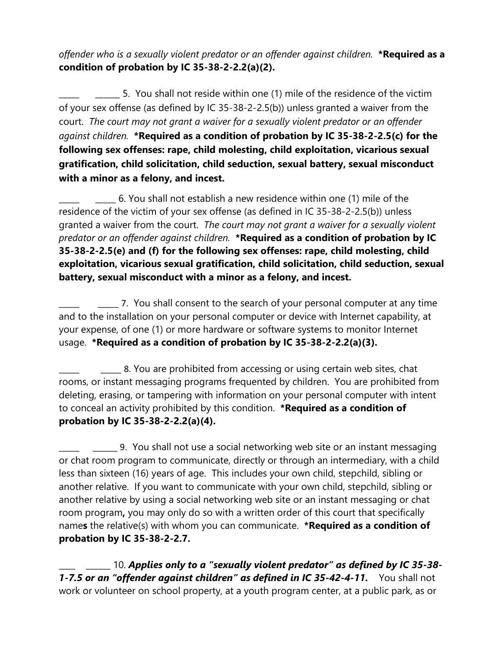*offender who is a sexually violent predator or an offender against children.* **\*Required as a condition of probation by IC 35-38-2-2.2(a)(2).**

5. You shall not reside within one (1) mile of the residence of the victim of your sex offense (as defined by IC 35-38-2-2.5(b)) unless granted a waiver from the court. *The court may not grant a waiver for a sexually violent predator or an offender against children.* **\*Required as a condition of probation by IC 35-38-2-2.5(c) for the following sex offenses: rape, child molesting, child exploitation, vicarious sexual gratification, child solicitation, child seduction, sexual battery, sexual misconduct with a minor as a felony, and incest.**

\_\_\_\_\_ \_\_\_\_\_ 6. You shall not establish a new residence within one (1) mile of the residence of the victim of your sex offense (as defined in IC 35-38-2-2.5(b)) unless granted a waiver from the court. *The court may not grant a waiver for a sexually violent predator or an offender against children.* **\*Required as a condition of probation by IC 35-38-2-2.5(e) and (f) for the following sex offenses: rape, child molesting, child exploitation, vicarious sexual gratification, child solicitation, child seduction, sexual battery, sexual misconduct with a minor as a felony, and incest.**

\_\_\_\_\_ \_\_\_\_\_ 7. You shall consent to the search of your personal computer at any time and to the installation on your personal computer or device with Internet capability, at your expense, of one (1) or more hardware or software systems to monitor Internet usage. **\*Required as a condition of probation by IC 35-38-2-2.2(a)(3).**

\_\_\_\_\_ \_\_\_\_\_ 8. You are prohibited from accessing or using certain web sites, chat rooms, or instant messaging programs frequented by children. You are prohibited from deleting, erasing, or tampering with information on your personal computer with intent to conceal an activity prohibited by this condition. **\*Required as a condition of probation by IC 35-38-2-2.2(a)(4).**

\_\_\_\_\_ \_\_\_\_\_\_ 9.You shall not use a social networking web site or an instant messaging or chat room program to communicate, directly or through an intermediary, with a child less than sixteen (16) years of age. This includes your own child, stepchild, sibling or another relative. If you want to communicate with your own child, stepchild, sibling or another relative by using a social networking web site or an instant messaging or chat room program**,** you may only do so with a written order of this court that specifically name**s** the relative(s) with whom you can communicate. **\*Required as a condition of probation by IC 35-38-2-2.7.**

\_\_\_\_ \_\_\_\_\_\_ 10. *Applies only to a "sexually violent predator" as defined by IC 35-38- 1-7.5 or an "offender against children" as defined in IC 35-42-4-11.* You shall not work or volunteer on school property, at a youth program center, at a public park, as or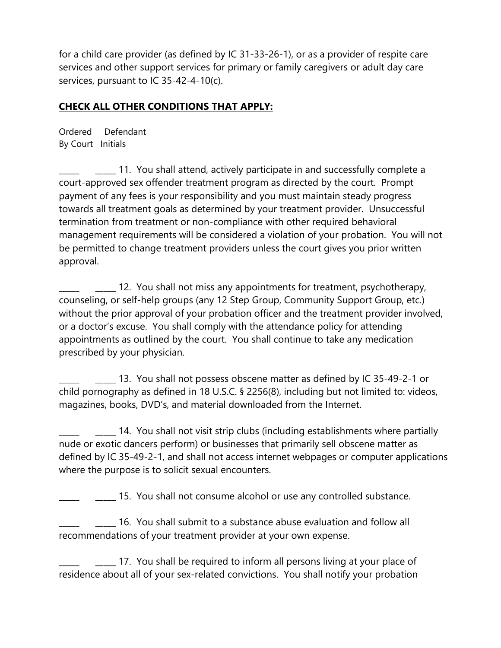for a child care provider (as defined by IC 31-33-26-1), or as a provider of respite care services and other support services for primary or family caregivers or adult day care services, pursuant to IC 35-42-4-10(c).

## **CHECK ALL OTHER CONDITIONS THAT APPLY:**

Ordered Defendant By Court Initials

\_\_\_\_\_ \_\_\_\_\_ 11. You shall attend, actively participate in and successfully complete a court-approved sex offender treatment program as directed by the court. Prompt payment of any fees is your responsibility and you must maintain steady progress towards all treatment goals as determined by your treatment provider. Unsuccessful termination from treatment or non-compliance with other required behavioral management requirements will be considered a violation of your probation. You will not be permitted to change treatment providers unless the court gives you prior written approval.

\_\_\_\_\_ \_\_\_\_\_ 12. You shall not miss any appointments for treatment, psychotherapy, counseling, or self-help groups (any 12 Step Group, Community Support Group, etc.) without the prior approval of your probation officer and the treatment provider involved, or a doctor's excuse. You shall comply with the attendance policy for attending appointments as outlined by the court. You shall continue to take any medication prescribed by your physician.

\_\_\_\_\_ \_\_\_\_\_ 13. You shall not possess obscene matter as defined by IC 35-49-2-1 or child pornography as defined in 18 U.S.C. § 2256(8), including but not limited to: videos, magazines, books, DVD's, and material downloaded from the Internet.

\_\_\_\_\_ \_\_\_\_\_ 14. You shall not visit strip clubs (including establishments where partially nude or exotic dancers perform) or businesses that primarily sell obscene matter as defined by IC 35-49-2-1, and shall not access internet webpages or computer applications where the purpose is to solicit sexual encounters.

\_\_\_\_\_ \_\_\_\_\_ 15. You shall not consume alcohol or use any controlled substance.

\_\_\_\_\_ \_\_\_\_\_ 16. You shall submit to a substance abuse evaluation and follow all recommendations of your treatment provider at your own expense.

\_\_\_\_\_ \_\_\_\_\_ 17. You shall be required to inform all persons living at your place of residence about all of your sex-related convictions. You shall notify your probation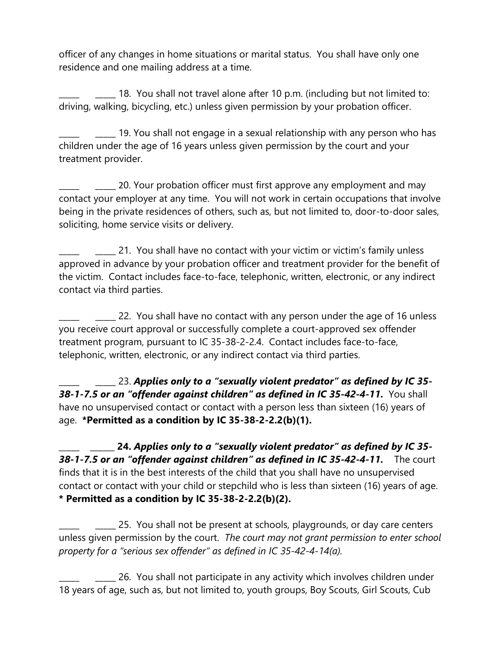officer of any changes in home situations or marital status. You shall have only one residence and one mailing address at a time.

\_\_\_\_\_ \_\_\_\_\_ 18. You shall not travel alone after 10 p.m. (including but not limited to: driving, walking, bicycling, etc.) unless given permission by your probation officer.

\_\_\_\_\_ \_\_\_\_\_ 19. You shall not engage in a sexual relationship with any person who has children under the age of 16 years unless given permission by the court and your treatment provider.

\_\_\_\_\_ \_\_\_\_\_ 20. Your probation officer must first approve any employment and may contact your employer at any time. You will not work in certain occupations that involve being in the private residences of others, such as, but not limited to, door-to-door sales, soliciting, home service visits or delivery.

\_\_\_\_\_ \_\_\_\_\_ 21. You shall have no contact with your victim or victim's family unless approved in advance by your probation officer and treatment provider for the benefit of the victim. Contact includes face-to-face, telephonic, written, electronic, or any indirect contact via third parties.

\_\_\_\_\_ \_\_\_\_\_ 22. You shall have no contact with any person under the age of 16 unless you receive court approval or successfully complete a court-approved sex offender treatment program, pursuant to IC 35-38-2-2.4. Contact includes face-to-face, telephonic, written, electronic, or any indirect contact via third parties.

\_\_\_\_\_ \_\_\_\_\_ 23. *Applies only to a "sexually violent predator" as defined by IC 35- 38-1-7.5 or an "offender against children" as defined in IC 35-42-4-11.* You shall have no unsupervised contact or contact with a person less than sixteen (16) years of age. **\*Permitted as a condition by IC 35-38-2-2.2(b)(1).**

**\_\_\_\_\_ \_\_\_\_\_\_ 24.** *Applies only to a "sexually violent predator" as defined by IC 35- 38-1-7.5 or an "offender against children" as defined in IC 35-42-4-11.*The court finds that it is in the best interests of the child that you shall have no unsupervised contact or contact with your child or stepchild who is less than sixteen (16) years of age. **\* Permitted as a condition by IC 35-38-2-2.2(b)(2).** 

\_\_\_\_\_ \_\_\_\_\_ 25. You shall not be present at schools, playgrounds, or day care centers unless given permission by the court. *The court may not grant permission to enter school property for a "serious sex offender" as defined in IC 35-42-4-14(a).*

**\_\_\_\_** 26. You shall not participate in any activity which involves children under 18 years of age, such as, but not limited to, youth groups, Boy Scouts, Girl Scouts, Cub